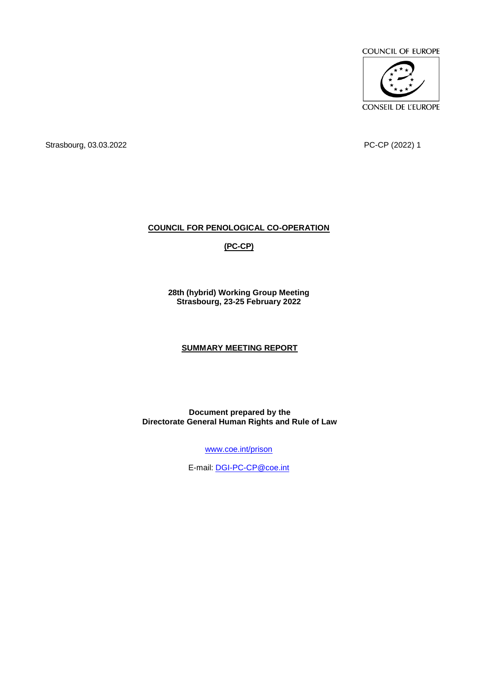COUNCIL OF EUROPE



Strasbourg, 03.03.2022 PC-CP (2022) 1

# **COUNCIL FOR PENOLOGICAL CO-OPERATION**

# **(PC-CP)**

**28th (hybrid) Working Group Meeting Strasbourg, 23-25 February 2022**

# **SUMMARY MEETING REPORT**

**Document prepared by the Directorate General Human Rights and Rule of Law**

[www.coe.int/prison](http://www.coe.int/prison)

E-mail: [DGI-PC-CP@coe.int](mailto:DGIPCCP@coe.int)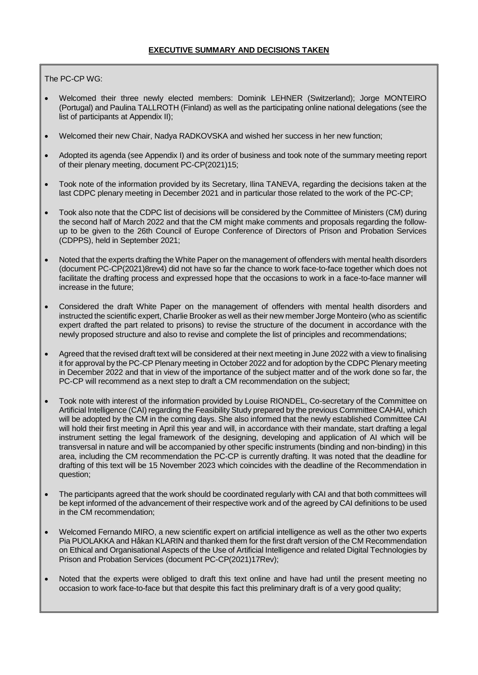The PC-CP WG:

- Welcomed their three newly elected members: Dominik LEHNER (Switzerland); Jorge MONTEIRO (Portugal) and Paulina TALLROTH (Finland) as well as the participating online national delegations (see the list of participants at Appendix II);
- Welcomed their new Chair, Nadya RADKOVSKA and wished her success in her new function;
- Adopted its agenda (see Appendix I) and its order of business and took note of the summary meeting report of their plenary meeting, document PC-CP(2021)15;
- Took note of the information provided by its Secretary, Ilina TANEVA, regarding the decisions taken at the last CDPC plenary meeting in December 2021 and in particular those related to the work of the PC-CP;
- Took also note that the CDPC list of decisions will be considered by the Committee of Ministers (CM) during the second half of March 2022 and that the CM might make comments and proposals regarding the followup to be given to the 26th Council of Europe Conference of Directors of Prison and Probation Services (CDPPS), held in September 2021;
- Noted that the experts drafting the White Paper on the management of offenders with mental health disorders (document PC-CP(2021)8rev4) did not have so far the chance to work face-to-face together which does not facilitate the drafting process and expressed hope that the occasions to work in a face-to-face manner will increase in the future;
- Considered the draft White Paper on the management of offenders with mental health disorders and instructed the scientific expert, Charlie Brooker as well as their new member Jorge Monteiro (who as scientific expert drafted the part related to prisons) to revise the structure of the document in accordance with the newly proposed structure and also to revise and complete the list of principles and recommendations;
- Agreed that the revised draft text will be considered at their next meeting in June 2022 with a view to finalising it for approval by the PC-CP Plenary meeting in October 2022 and for adoption by the CDPC Plenary meeting in December 2022 and that in view of the importance of the subject matter and of the work done so far, the PC-CP will recommend as a next step to draft a CM recommendation on the subject;
- Took note with interest of the information provided by Louise RIONDEL, Co-secretary of the Committee on Artificial Intelligence (CAI) regarding the Feasibility Study prepared by the previous Committee CAHAI, which will be adopted by the CM in the coming days. She also informed that the newly established Committee CAI will hold their first meeting in April this year and will, in accordance with their mandate, start drafting a legal instrument setting the legal framework of the designing, developing and application of AI which will be transversal in nature and will be accompanied by other specific instruments (binding and non-binding) in this area, including the CM recommendation the PC-CP is currently drafting. It was noted that the deadline for drafting of this text will be 15 November 2023 which coincides with the deadline of the Recommendation in question;
- The participants agreed that the work should be coordinated regularly with CAI and that both committees will be kept informed of the advancement of their respective work and of the agreed by CAI definitions to be used in the CM recommendation;
- Welcomed Fernando MIRO, a new scientific expert on artificial intelligence as well as the other two experts Pia PUOLAKKA and Håkan KLARIN and thanked them for the first draft version of the CM Recommendation on Ethical and Organisational Aspects of the Use of Artificial Intelligence and related Digital Technologies by Prison and Probation Services (document PC-CP(2021)17Rev);
- Noted that the experts were obliged to draft this text online and have had until the present meeting no occasion to work face-to-face but that despite this fact this preliminary draft is of a very good quality;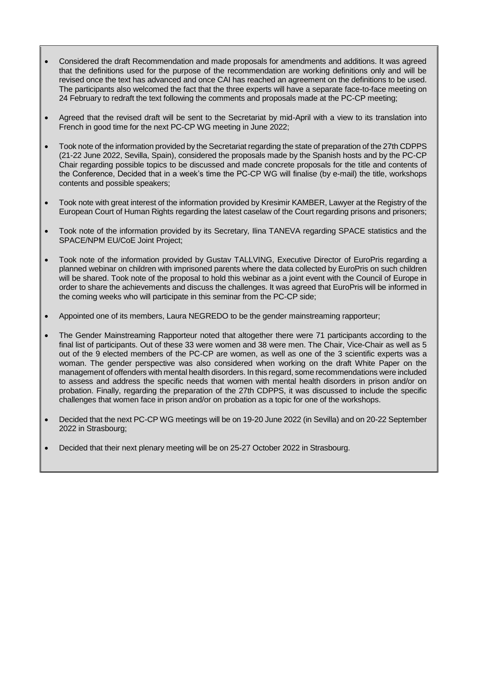- Considered the draft Recommendation and made proposals for amendments and additions. It was agreed that the definitions used for the purpose of the recommendation are working definitions only and will be revised once the text has advanced and once CAI has reached an agreement on the definitions to be used. The participants also welcomed the fact that the three experts will have a separate face-to-face meeting on 24 February to redraft the text following the comments and proposals made at the PC-CP meeting;
- Agreed that the revised draft will be sent to the Secretariat by mid-April with a view to its translation into French in good time for the next PC-CP WG meeting in June 2022;
- Took note of the information provided by the Secretariat regarding the state of preparation of the 27th CDPPS (21-22 June 2022, Sevilla, Spain), considered the proposals made by the Spanish hosts and by the PC-CP Chair regarding possible topics to be discussed and made concrete proposals for the title and contents of the Conference, Decided that in a week's time the PC-CP WG will finalise (by e-mail) the title, workshops contents and possible speakers;
- Took note with great interest of the information provided by Kresimir KAMBER, Lawyer at the Registry of the European Court of Human Rights regarding the latest caselaw of the Court regarding prisons and prisoners;
- Took note of the information provided by its Secretary, Ilina TANEVA regarding SPACE statistics and the SPACE/NPM EU/CoE Joint Project;
- Took note of the information provided by Gustav TALLVING, Executive Director of EuroPris regarding a planned webinar on children with imprisoned parents where the data collected by EuroPris on such children will be shared. Took note of the proposal to hold this webinar as a joint event with the Council of Europe in order to share the achievements and discuss the challenges. It was agreed that EuroPris will be informed in the coming weeks who will participate in this seminar from the PC-CP side;
- Appointed one of its members, Laura NEGREDO to be the gender mainstreaming rapporteur;
- The Gender Mainstreaming Rapporteur noted that altogether there were 71 participants according to the final list of participants. Out of these 33 were women and 38 were men. The Chair, Vice-Chair as well as 5 out of the 9 elected members of the PC-CP are women, as well as one of the 3 scientific experts was a woman. The gender perspective was also considered when working on the draft White Paper on the management of offenders with mental health disorders. In this regard, some recommendations were included to assess and address the specific needs that women with mental health disorders in prison and/or on probation. Finally, regarding the preparation of the 27th CDPPS, it was discussed to include the specific challenges that women face in prison and/or on probation as a topic for one of the workshops.
- Decided that the next PC-CP WG meetings will be on 19-20 June 2022 (in Sevilla) and on 20-22 September 2022 in Strasbourg;
- Decided that their next plenary meeting will be on 25-27 October 2022 in Strasbourg.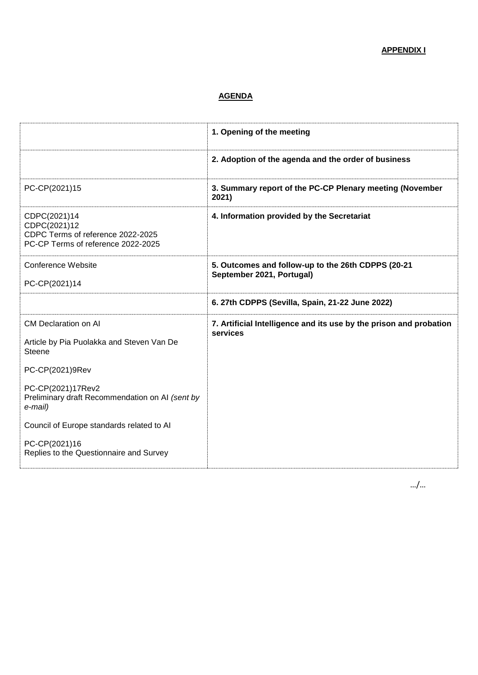# **APPENDIX I**

# **AGENDA**

|                                                                                                         | 1. Opening of the meeting                                                       |
|---------------------------------------------------------------------------------------------------------|---------------------------------------------------------------------------------|
|                                                                                                         | 2. Adoption of the agenda and the order of business                             |
| PC-CP(2021)15                                                                                           | 3. Summary report of the PC-CP Plenary meeting (November<br>2021)               |
| CDPC(2021)14<br>CDPC(2021)12<br>CDPC Terms of reference 2022-2025<br>PC-CP Terms of reference 2022-2025 | 4. Information provided by the Secretariat                                      |
| <b>Conference Website</b><br>PC-CP(2021)14                                                              | 5. Outcomes and follow-up to the 26th CDPPS (20-21<br>September 2021, Portugal) |
|                                                                                                         | 6. 27th CDPPS (Sevilla, Spain, 21-22 June 2022)                                 |
| <b>CM Declaration on AI</b><br>Article by Pia Puolakka and Steven Van De<br><b>Steene</b>               | 7. Artificial Intelligence and its use by the prison and probation<br>services  |
| PC-CP(2021)9Rev                                                                                         |                                                                                 |
| PC-CP(2021)17Rev2<br>Preliminary draft Recommendation on AI (sent by<br>e-mail)                         |                                                                                 |
| Council of Europe standards related to Al                                                               |                                                                                 |
| PC-CP(2021)16<br>Replies to the Questionnaire and Survey                                                |                                                                                 |

…/…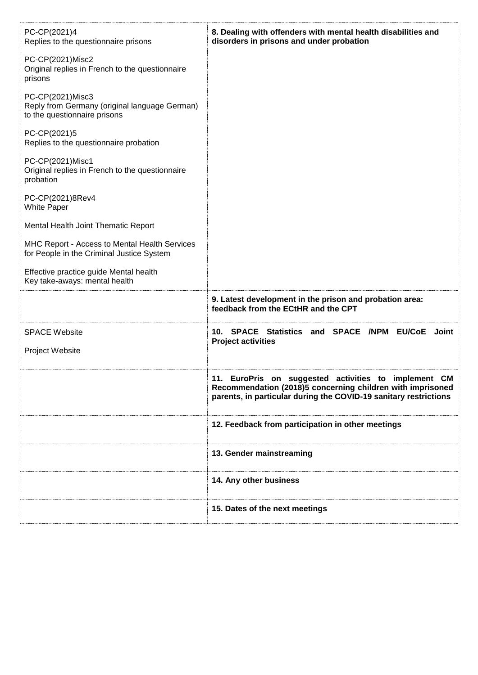| 8. Dealing with offenders with mental health disabilities and<br>disorders in prisons and under probation                                                                                     |
|-----------------------------------------------------------------------------------------------------------------------------------------------------------------------------------------------|
|                                                                                                                                                                                               |
|                                                                                                                                                                                               |
|                                                                                                                                                                                               |
|                                                                                                                                                                                               |
|                                                                                                                                                                                               |
|                                                                                                                                                                                               |
|                                                                                                                                                                                               |
|                                                                                                                                                                                               |
| 9. Latest development in the prison and probation area:<br>feedback from the ECtHR and the CPT                                                                                                |
| 10. SPACE Statistics and SPACE /NPM EU/CoE<br>Joint<br><b>Project activities</b>                                                                                                              |
|                                                                                                                                                                                               |
| 11.<br>EuroPris on suggested activities to implement<br>CM.<br>Recommendation (2018)5 concerning children with imprisoned<br>parents, in particular during the COVID-19 sanitary restrictions |
| 12. Feedback from participation in other meetings                                                                                                                                             |
| 13. Gender mainstreaming                                                                                                                                                                      |
| 14. Any other business                                                                                                                                                                        |
| 15. Dates of the next meetings                                                                                                                                                                |
|                                                                                                                                                                                               |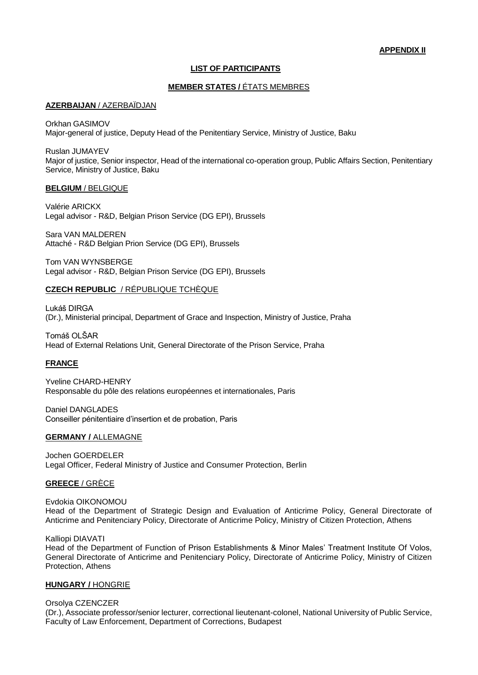# **LIST OF PARTICIPANTS**

# **MEMBER STATES /** ÉTATS MEMBRES

#### **AZERBAIJAN** / AZERBAÏDJAN

Orkhan GASIMOV Major-general of justice, Deputy Head of the Penitentiary Service, Ministry of Justice, Baku

Ruslan JUMAYEV Major of justice, Senior inspector, Head of the international co-operation group, Public Affairs Section, Penitentiary Service, Ministry of Justice, Baku

# **BELGIUM** / BELGIQUE

Valérie ARICKX Legal advisor - R&D, Belgian Prison Service (DG EPI), Brussels

Sara VAN MALDEREN Attaché - R&D Belgian Prion Service (DG EPI), Brussels

Tom VAN WYNSBERGE Legal advisor - R&D, Belgian Prison Service (DG EPI), Brussels

## **CZECH REPUBLIC** / RÉPUBLIQUE TCHÈQUE

Lukáš DIRGA (Dr.), Ministerial principal, Department of Grace and Inspection, Ministry of Justice, Praha

Tomáš OLŠAR Head of External Relations Unit, General Directorate of the Prison Service, Praha

# **FRANCE**

Yveline CHARD-HENRY Responsable du pôle des relations européennes et internationales, Paris

Daniel DANGLADES Conseiller pénitentiaire d'insertion et de probation, Paris

#### **GERMANY /** ALLEMAGNE

Jochen GOERDELER Legal Officer, Federal Ministry of Justice and Consumer Protection, Berlin

## **GREECE** / GRÈCE

Evdokia OIKONOMOU Head of the Department of Strategic Design and Evaluation of Anticrime Policy, General Directorate of Anticrime and Penitenciary Policy, Directorate of Anticrime Policy, Ministry of Citizen Protection, Athens

Kalliopi DIAVATI

Head of the Department of Function of Prison Establishments & Minor Males' Treatment Institute Of Volos, General Directorate of Anticrime and Penitenciary Policy, Directorate of Anticrime Policy, Ministry of Citizen Protection, Athens

## **HUNGARY /** HONGRIE

Orsolya CZENCZER

(Dr.), Associate professor/senior lecturer, correctional lieutenant-colonel, National University of Public Service, Faculty of Law Enforcement, Department of Corrections, Budapest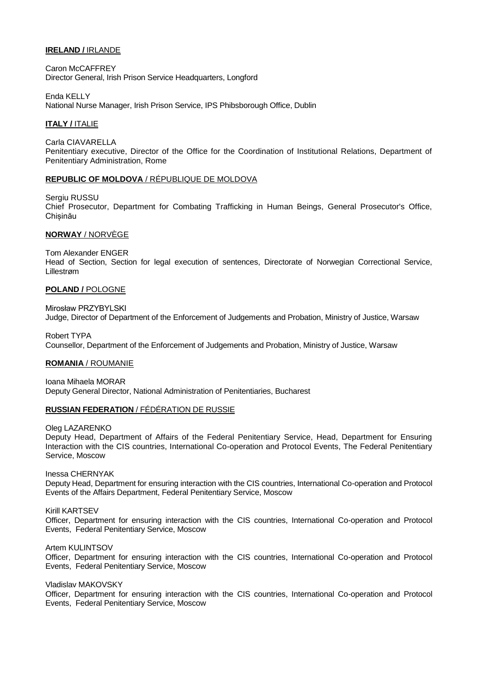# **IRELAND /** IRLANDE

Caron McCAFFREY Director General, Irish Prison Service Headquarters, Longford

Enda KELLY National Nurse Manager, Irish Prison Service, IPS Phibsborough Office, Dublin

# **ITALY /** ITALIE

Carla CIAVARELLA Penitentiary executive, Director of the Office for the Coordination of Institutional Relations, Department of Penitentiary Administration, Rome

## **REPUBLIC OF MOLDOVA** / [RÉPUBLIQUE DE MOLDOVA](http://intranet.coe.int/jahia/Jahia/lang/en/Accueil/Protocol/Diplomatic_missions_and_Protocol_Lists/Diplomatic_Missions_#Moldova)

Sergiu RUSSU Chief Prosecutor, Department for Combating Trafficking in Human Beings, General Prosecutor's Office, **Chisinău** 

## **NORWAY** / NORVÈGE

Tom Alexander ENGER

Head of Section, Section for legal execution of sentences, Directorate of Norwegian Correctional Service, Lillestrøm

## **POLAND /** POLOGNE

Mirosław PRZYBYLSKI Judge, Director of Department of the Enforcement of Judgements and Probation, Ministry of Justice, Warsaw

Robert TYPA Counsellor, Department of the Enforcement of Judgements and Probation, Ministry of Justice, Warsaw

## **ROMANIA** / ROUMANIE

Ioana Mihaela MORAR Deputy General Director, National Administration of Penitentiaries, Bucharest

## **RUSSIAN FEDERATION** / FÉDÉRATION DE RUSSIE

Oleg LAZARENKO

Deputy Head, Department of Affairs of the Federal Penitentiary Service, Head, Department for Ensuring Interaction with the CIS countries, International Co-operation and Protocol Events, The Federal Penitentiary Service, Moscow

Inessa CHERNYAK

Deputy Head, Department for ensuring interaction with the CIS countries, International Co-operation and Protocol Events of the Affairs Department, Federal Penitentiary Service, Moscow

Kirill KARTSEV

Officer, Department for ensuring interaction with the CIS countries, International Co-operation and Protocol Events, Federal Penitentiary Service, Moscow

Artem KULINTSOV

Officer, Department for ensuring interaction with the CIS countries, International Co-operation and Protocol Events, Federal Penitentiary Service, Moscow

Vladislav MAKOVSKY

Officer, Department for ensuring interaction with the CIS countries, International Co-operation and Protocol Events, Federal Penitentiary Service, Moscow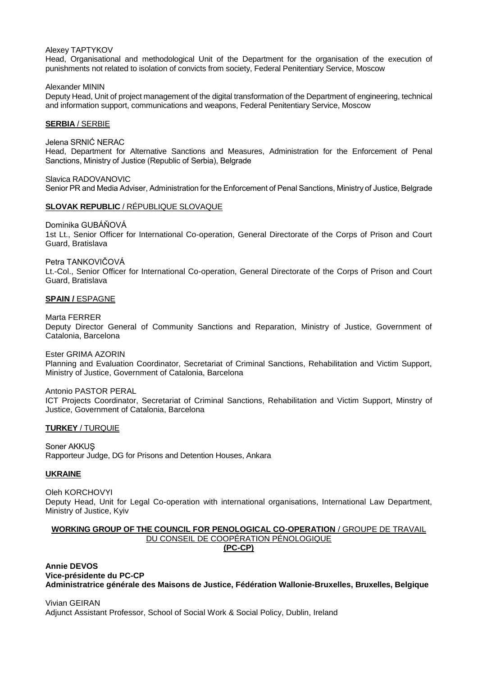#### Alexey TAPTYKOV

Head, Organisational and methodological Unit of the Department for the organisation of the execution of punishments not related to isolation of convicts from society, Federal Penitentiary Service, Moscow

Alexander MININ Deputy Head, Unit of project management of the digital transformation of the Department of engineering, technical and information support, communications and weapons, Federal Penitentiary Service, Moscow

#### **SERBIA** / SERBIE

Jelena SRNIĆ NERAC Head, Department for Alternative Sanctions and Measures, Administration for the Enforcement of Penal Sanctions, Мinistry of Justice (Republic of Serbia), Belgrade

Slavica RADOVANOVIC Senior PR and Media Adviser, Administration for the Enforcement of Penal Sanctions, Мinistry of Justice, Belgrade

## **SLOVAK REPUBLIC** / RÉPUBLIQUE SLOVAQUE

Dominika GUBÁŇOVÁ

1st Lt., Senior Officer for International Co-operation, General Directorate of the Corps of Prison and Court Guard, Bratislava

Petra TANKOVIČOVÁ

Lt.-Col., Senior Officer for International Co-operation, General Directorate of the Corps of Prison and Court Guard, Bratislava

#### **SPAIN /** ESPAGNE

Marta FERRER

Deputy Director General of Community Sanctions and Reparation, Ministry of Justice, Government of Catalonia, Barcelona

Ester GRIMA AZORIN

Planning and Evaluation Coordinator, Secretariat of Criminal Sanctions, Rehabilitation and Victim Support, Ministry of Justice, Government of Catalonia, Barcelona

#### Antonio PASTOR PERAL

ICT Projects Coordinator, Secretariat of Criminal Sanctions, Rehabilitation and Victim Support, Minstry of Justice, Government of Catalonia, Barcelona

#### **TURKEY** / TURQUIE

Soner AKKUŞ Rapporteur Judge, DG for Prisons and Detention Houses, Ankara

## **UKRAINE**

Oleh KORCHOVYI Deputy Head, Unit for Legal Co-operation with international organisations, International Law Department, Ministry of Justice, Kyiv

## **WORKING GROUP OF THE COUNCIL FOR PENOLOGICAL CO-OPERATION** / GROUPE DE TRAVAIL DU CONSEIL DE COOPÉRATION PÉNOLOGIQUE **(PC-CP)**

# **Annie DEVOS Vice-présidente du PC-CP Administratrice générale des Maisons de Justice, Fédération Wallonie-Bruxelles, Bruxelles, Belgique**

Vivian GEIRAN Adjunct Assistant Professor, School of Social Work & Social Policy, Dublin, Ireland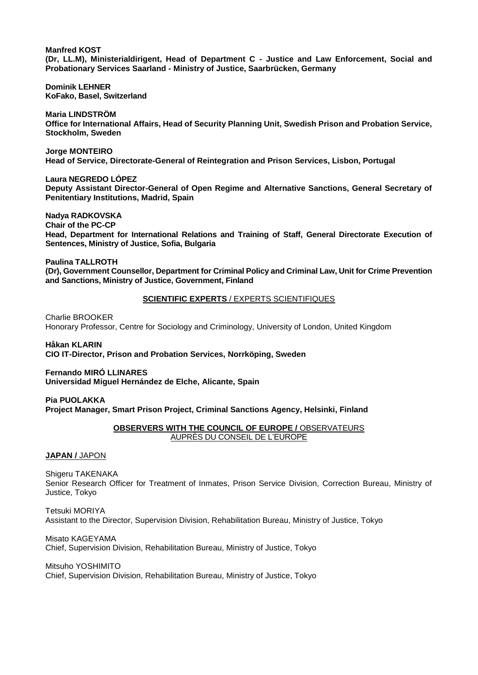**Manfred KOST** 

**(Dr, LL.M), Ministerialdirigent, Head of Department C - Justice and Law Enforcement, Social and Probationary Services Saarland - Ministry of Justice, Saarbrücken, Germany**

**Dominik LEHNER KoFako, Basel, Switzerland**

**Maria LINDSTRÖM Office for International Affairs, Head of Security Planning Unit, Swedish Prison and Probation Service, Stockholm, Sweden**

**Jorge MONTEIRO Head of Service, Directorate-General of Reintegration and Prison Services, Lisbon, Portugal**

**Laura NEGREDO LÓPEZ Deputy Assistant Director-General of Open Regime and Alternative Sanctions, General Secretary of Penitentiary Institutions, Madrid, Spain**

**Nadya RADKOVSKA Chair of the PC-CP Head, Department for International Relations and Training of Staff, General Directorate Execution of Sentences, Ministry of Justice, Sofia, Bulgaria**

**Paulina TALLROTH (Dr), Government Counsellor, Department for Criminal Policy and Criminal Law, Unit for Crime Prevention and Sanctions, Ministry of Justice, Government, Finland**

# **SCIENTIFIC EXPERTS** / EXPERTS SCIENTIFIQUES

Charlie BROOKER Honorary Professor, Centre for Sociology and Criminology, University of London, United Kingdom

**Håkan KLARIN CIO IT-Director, Prison and Probation Services, Norrköping, Sweden**

**Fernando MIRÓ LLINARES Universidad Miguel Hernández de Elche, Alicante, Spain**

**Pia PUOLAKKA Project Manager, Smart Prison Project, Criminal Sanctions Agency, Helsinki, Finland**

# **OBSERVERS WITH THE COUNCIL OF EUROPE / OBSERVATEURS** AUPRÈS DU CONSEIL DE L'EUROPE

**JAPAN /** JAPON

Shigeru TAKENAKA Senior Research Officer for Treatment of Inmates, Prison Service Division, Correction Bureau, Ministry of Justice, Tokyo

Tetsuki MORIYA Assistant to the Director, Supervision Division, Rehabilitation Bureau, Ministry of Justice, Tokyo

Misato KAGEYAMA Chief, Supervision Division, Rehabilitation Bureau, Ministry of Justice, Tokyo

Mitsuho YOSHIMITO Chief, Supervision Division, Rehabilitation Bureau, Ministry of Justice, Tokyo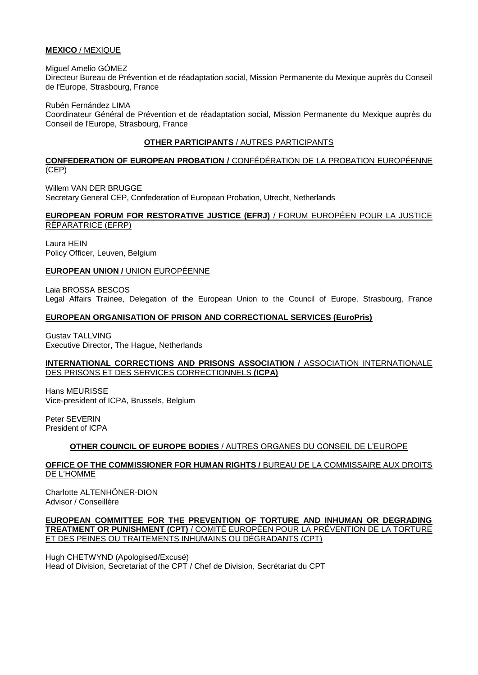# **MEXICO** / MEXIQUE

Miguel Amelio GÓMEZ

Directeur Bureau de Prévention et de réadaptation social, Mission Permanente du Mexique auprès du Conseil de l'Europe, Strasbourg, France

Rubén Fernández LIMA

Coordinateur Général de Prévention et de réadaptation social, Mission Permanente du Mexique auprès du Conseil de l'Europe, Strasbourg, France

# **OTHER PARTICIPANTS** / AUTRES PARTICIPANTS

# **CONFEDERATION OF EUROPEAN PROBATION /** CONFÉDÉRATION DE LA PROBATION EUROPÉENNE (CEP)

Willem VAN DER BRUGGE Secretary General CEP, Confederation of European Probation, Utrecht, Netherlands

# **EUROPEAN FORUM FOR RESTORATIVE JUSTICE (EFRJ)** / FORUM EUROPÉEN POUR LA JUSTICE RÉPARATRICE (EFRP)

Laura HEIN Policy Officer, Leuven, Belgium

# **EUROPEAN UNION /** UNION EUROPÉENNE

Laia BROSSA BESCOS Legal Affairs Trainee, Delegation of the European Union to the Council of Europe, Strasbourg, France

# **EUROPEAN ORGANISATION OF PRISON AND CORRECTIONAL SERVICES (EuroPris)**

Gustav TALLVING Executive Director, The Hague, Netherlands

# **INTERNATIONAL CORRECTIONS AND PRISONS ASSOCIATION / ASSOCIATION INTERNATIONALE** DES PRISONS ET DES SERVICES CORRECTIONNELS **(ICPA)**

Hans MEURISSE Vice-president of ICPA, Brussels, Belgium

Peter SEVERIN President of ICPA

# **OTHER COUNCIL OF EUROPE BODIES** / AUTRES ORGANES DU CONSEIL DE L'EUROPE

# **OFFICE OF THE COMMISSIONER FOR HUMAN RIGHTS /** BUREAU DE LA COMMISSAIRE AUX DROITS DE L'HOMME

Charlotte ALTENHÖNER-DION Advisor / Conseillère

# **EUROPEAN COMMITTEE FOR THE PREVENTION OF TORTURE AND INHUMAN OR DEGRADING TREATMENT OR PUNISHMENT (CPT)** / COMITÉ EUROPÉEN POUR LA PRÉVENTION DE LA TORTURE ET DES PEINES OU TRAITEMENTS INHUMAINS OU DÉGRADANTS (CPT)

Hugh CHETWYND (Apologised/Excusé) Head of Division, Secretariat of the CPT / Chef de Division, Secrétariat du CPT